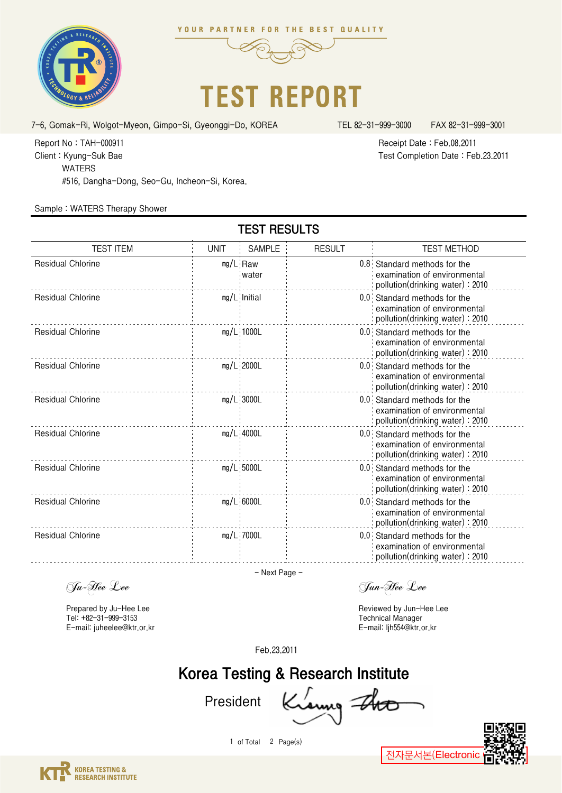





TEST RESULTS

7-6, Gomak-Ri, Wolgot-Myeon, Gimpo-Si, Gyeonggi-Do, KOREA TEL 82-31-999-3000 FAX 82-31-999-3001

Test Completion Date : Feb.23.2011 Receipt Date : Feb.08.2011

#516, Dangha-Dong, Seo-Gu, Incheon-Si, Korea. WATERS Client : Kyung-Suk Bae Report No : TAH-000911

## Sample : WATERS Therapy Shower

| <b>TEST ITEM</b>         | <b>UNIT</b> | <b>SAMPLE</b>       | <b>RESULT</b> | <b>TEST METHOD</b>                                                                              |
|--------------------------|-------------|---------------------|---------------|-------------------------------------------------------------------------------------------------|
| <b>Residual Chlorine</b> |             | $mg/L$ Raw<br>water |               | 0.8 Standard methods for the<br>examination of environmental<br>pollution(drinking water): 2010 |
| <b>Residual Chlorine</b> |             | $mg/L$ : Initial    |               | 0.0 Standard methods for the<br>examination of environmental<br>pollution(drinking water): 2010 |
| <b>Residual Chlorine</b> |             | $mg/L$ 1000L        |               | 0.0 Standard methods for the<br>examination of environmental<br>pollution(drinking water): 2010 |
| <b>Residual Chlorine</b> |             | $mg/L$ 2000L        |               | 0.0 Standard methods for the<br>examination of environmental<br>pollution(drinking water): 2010 |
| <b>Residual Chlorine</b> |             | $mg/L$ 3000L        |               | 0.0 Standard methods for the<br>examination of environmental<br>pollution(drinking water): 2010 |
| <b>Residual Chlorine</b> |             | $mg/L$ 4000L        |               | 0.0 Standard methods for the<br>examination of environmental<br>pollution(drinking water): 2010 |
| <b>Residual Chlorine</b> |             | $mg/L$ 5000L        |               | 0.0 Standard methods for the<br>examination of environmental<br>pollution(drinking water): 2010 |
| <b>Residual Chlorine</b> |             | $mg/L$ 6000L        |               | 0.0 Standard methods for the<br>examination of environmental<br>pollution(drinking water): 2010 |
| <b>Residual Chlorine</b> |             | mg/L 7000L          |               | 0.0 Standard methods for the<br>examination of environmental<br>pollution(drinking water): 2010 |

- Next Page -

Prepared by Ju-Hee Lee Tel: +82-31-999-3153 E-mail: juheelee@ktr.or.kr

Ju-Hee Lee Jun-Hee Lee

Reviewed by Jun-Hee Lee Technical Manager E-mail: ljh554@ktr.or.kr

Feb.23.2011

## Korea Testing & Research Institute

President Kraung

1 of Total 2 Page(s)



전자문서본(Electronic